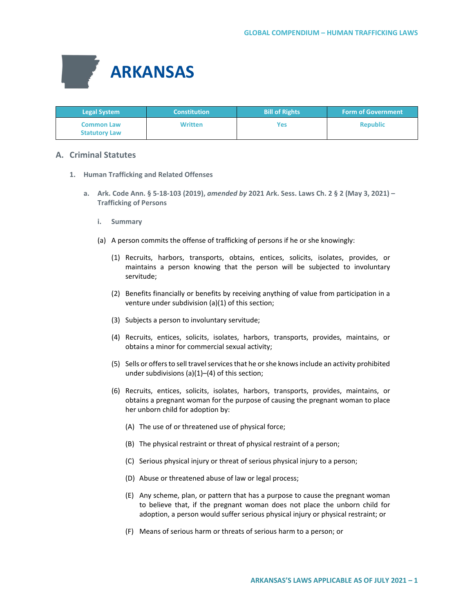

| <b>Legal System</b>                       | <b>Constitution</b> | <b>Bill of Rights</b> | <b>Form of Government</b> |
|-------------------------------------------|---------------------|-----------------------|---------------------------|
| <b>Common Law</b><br><b>Statutory Law</b> | <b>Written</b>      | Yes                   | <b>Republic</b>           |

# **A. Criminal Statutes**

- **1. Human Trafficking and Related Offenses**
	- **a. Ark. Code Ann. § 5-18-103 (2019),** *amended by* **2021 Ark. Sess. Laws Ch. 2 § 2 (May 3, 2021) – Trafficking of Persons**
		- **i. Summary**
		- (a) A person commits the offense of trafficking of persons if he or she knowingly:
			- (1) Recruits, harbors, transports, obtains, entices, solicits, isolates, provides, or maintains a person knowing that the person will be subjected to involuntary servitude;
			- (2) Benefits financially or benefits by receiving anything of value from participation in a venture under subdivision (a)(1) of this section;
			- (3) Subjects a person to involuntary servitude;
			- (4) Recruits, entices, solicits, isolates, harbors, transports, provides, maintains, or obtains a minor for commercial sexual activity;
			- (5) Sells or offers to sell travel services that he or she knows include an activity prohibited under subdivisions (a)(1)–(4) of this section;
			- (6) Recruits, entices, solicits, isolates, harbors, transports, provides, maintains, or obtains a pregnant woman for the purpose of causing the pregnant woman to place her unborn child for adoption by:
				- (A) The use of or threatened use of physical force;
				- (B) The physical restraint or threat of physical restraint of a person;
				- (C) Serious physical injury or threat of serious physical injury to a person;
				- (D) Abuse or threatened abuse of law or legal process;
				- (E) Any scheme, plan, or pattern that has a purpose to cause the pregnant woman to believe that, if the pregnant woman does not place the unborn child for adoption, a person would suffer serious physical injury or physical restraint; or
				- (F) Means of serious harm or threats of serious harm to a person; or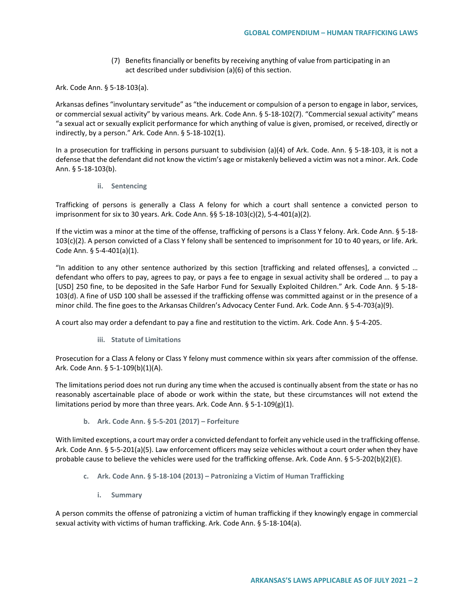(7) Benefits financially or benefits by receiving anything of value from participating in an act described under subdivision (a)(6) of this section.

Ark. Code Ann. § 5-18-103(a).

Arkansas defines "involuntary servitude" as "the inducement or compulsion of a person to engage in labor, services, or commercial sexual activity" by various means. Ark. Code Ann. § 5-18-102(7). "Commercial sexual activity" means "a sexual act or sexually explicit performance for which anything of value is given, promised, or received, directly or indirectly, by a person." Ark. Code Ann. § 5-18-102(1).

In a prosecution for trafficking in persons pursuant to subdivision (a)(4) of Ark. Code. Ann. § 5-18-103, it is not a defense that the defendant did not know the victim's age or mistakenly believed a victim was not a minor. Ark. Code Ann. § 5-18-103(b).

**ii. Sentencing**

Trafficking of persons is generally a Class A felony for which a court shall sentence a convicted person to imprisonment for six to 30 years. Ark. Code Ann. §§ 5-18-103(c)(2), 5-4-401(a)(2).

If the victim was a minor at the time of the offense, trafficking of persons is a Class Y felony. Ark. Code Ann. § 5-18- 103(c)(2). A person convicted of a Class Y felony shall be sentenced to imprisonment for 10 to 40 years, or life. Ark. Code Ann. § 5-4-401(a)(1).

"In addition to any other sentence authorized by this section [trafficking and related offenses], a convicted … defendant who offers to pay, agrees to pay, or pays a fee to engage in sexual activity shall be ordered … to pay a [USD] 250 fine, to be deposited in the Safe Harbor Fund for Sexually Exploited Children." Ark. Code Ann. § 5-18- 103(d). A fine of USD 100 shall be assessed if the trafficking offense was committed against or in the presence of a minor child. The fine goes to the Arkansas Children's Advocacy Center Fund. Ark. Code Ann. § 5-4-703(a)(9).

A court also may order a defendant to pay a fine and restitution to the victim. Ark. Code Ann. § 5-4-205.

**iii. Statute of Limitations**

Prosecution for a Class A felony or Class Y felony must commence within six years after commission of the offense. Ark. Code Ann. § 5-1-109(b)(1)(A).

The limitations period does not run during any time when the accused is continually absent from the state or has no reasonably ascertainable place of abode or work within the state, but these circumstances will not extend the limitations period by more than three years. Ark. Code Ann. § 5-1-109(g)(1).

**b. Ark. Code Ann. § 5-5-201 (2017) – Forfeiture**

With limited exceptions, a court may order a convicted defendant to forfeit any vehicle used in the trafficking offense. Ark. Code Ann. § 5-5-201(a)(5). Law enforcement officers may seize vehicles without a court order when they have probable cause to believe the vehicles were used for the trafficking offense. Ark. Code Ann. § 5-5-202(b)(2)(E).

- **c. Ark. Code Ann. § 5-18-104 (2013) – Patronizing a Victim of Human Trafficking**
	- **i. Summary**

A person commits the offense of patronizing a victim of human trafficking if they knowingly engage in commercial sexual activity with victims of human trafficking. Ark. Code Ann. § 5-18-104(a).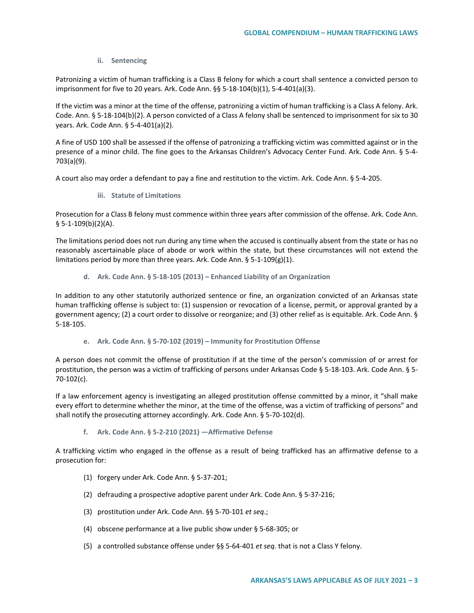# **ii. Sentencing**

Patronizing a victim of human trafficking is a Class B felony for which a court shall sentence a convicted person to imprisonment for five to 20 years. Ark. Code Ann. §§ 5-18-104(b)(1), 5-4-401(a)(3).

If the victim was a minor at the time of the offense, patronizing a victim of human trafficking is a Class A felony. Ark. Code. Ann. § 5-18-104(b)(2). A person convicted of a Class A felony shall be sentenced to imprisonment for six to 30 years. Ark. Code Ann. § 5-4-401(a)(2).

A fine of USD 100 shall be assessed if the offense of patronizing a trafficking victim was committed against or in the presence of a minor child. The fine goes to the Arkansas Children's Advocacy Center Fund. Ark. Code Ann. § 5-4- 703(a)(9).

A court also may order a defendant to pay a fine and restitution to the victim. Ark. Code Ann. § 5-4-205.

**iii. Statute of Limitations**

Prosecution for a Class B felony must commence within three years after commission of the offense. Ark. Code Ann. § 5-1-109(b)(2)(A).

The limitations period does not run during any time when the accused is continually absent from the state or has no reasonably ascertainable place of abode or work within the state, but these circumstances will not extend the limitations period by more than three years. Ark. Code Ann. § 5-1-109(g)(1).

**d. Ark. Code Ann. § 5-18-105 (2013) – Enhanced Liability of an Organization**

In addition to any other statutorily authorized sentence or fine, an organization convicted of an Arkansas state human trafficking offense is subject to: (1) suspension or revocation of a license, permit, or approval granted by a government agency; (2) a court order to dissolve or reorganize; and (3) other relief as is equitable. Ark. Code Ann. § 5-18-105.

**e. Ark. Code Ann. § 5-70-102 (2019) – Immunity for Prostitution Offense**

A person does not commit the offense of prostitution if at the time of the person's commission of or arrest for prostitution, the person was a victim of trafficking of persons under Arkansas Code § 5-18-103. Ark. Code Ann. § 5- 70-102(c).

If a law enforcement agency is investigating an alleged prostitution offense committed by a minor, it "shall make every effort to determine whether the minor, at the time of the offense, was a victim of trafficking of persons" and shall notify the prosecuting attorney accordingly. Ark. Code Ann. § 5-70-102(d).

**f. Ark. Code Ann. § 5-2-210 (2021) —Affirmative Defense**

A trafficking victim who engaged in the offense as a result of being trafficked has an affirmative defense to a prosecution for:

- (1) forgery under Ark. Code Ann. § 5-37-201;
- (2) defrauding a prospective adoptive parent under Ark. Code Ann. § 5-37-216;
- (3) prostitution under Ark. Code Ann. §§ 5-70-101 *et seq*.;
- (4) obscene performance at a live public show under § 5-68-305; or
- (5) a controlled substance offense under §§ 5-64-401 *et seq.* that is not a Class Y felony.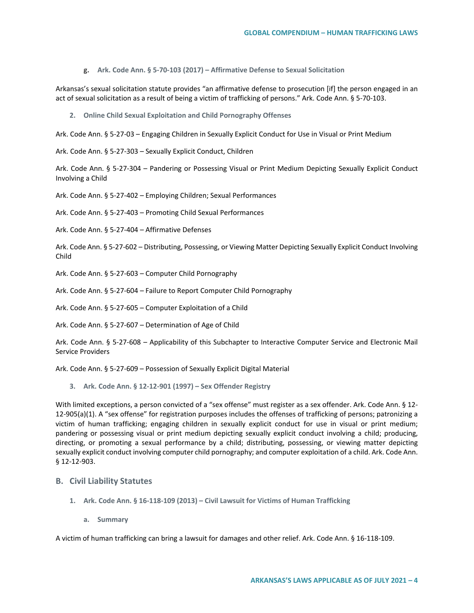**g. Ark. Code Ann. § 5-70-103 (2017) – Affirmative Defense to Sexual Solicitation**

Arkansas's sexual solicitation statute provides "an affirmative defense to prosecution [if] the person engaged in an act of sexual solicitation as a result of being a victim of trafficking of persons." Ark. Code Ann. § 5-70-103.

**2. Online Child Sexual Exploitation and Child Pornography Offenses**

Ark. Code Ann. § 5-27-03 – Engaging Children in Sexually Explicit Conduct for Use in Visual or Print Medium

Ark. Code Ann. § 5-27-303 – Sexually Explicit Conduct, Children

Ark. Code Ann. § 5-27-304 – Pandering or Possessing Visual or Print Medium Depicting Sexually Explicit Conduct Involving a Child

Ark. Code Ann. § 5-27-402 – Employing Children; Sexual Performances

Ark. Code Ann. § 5-27-403 – Promoting Child Sexual Performances

Ark. Code Ann. § 5-27-404 – Affirmative Defenses

Ark. Code Ann. § 5-27-602 – Distributing, Possessing, or Viewing Matter Depicting Sexually Explicit Conduct Involving Child

Ark. Code Ann. § 5-27-603 – Computer Child Pornography

Ark. Code Ann. § 5-27-604 – Failure to Report Computer Child Pornography

Ark. Code Ann. § 5-27-605 – Computer Exploitation of a Child

Ark. Code Ann. § 5-27-607 – Determination of Age of Child

Ark. Code Ann. § 5-27-608 – Applicability of this Subchapter to Interactive Computer Service and Electronic Mail Service Providers

Ark. Code Ann. § 5-27-609 – Possession of Sexually Explicit Digital Material

**3. Ark. Code Ann. § 12-12-901 (1997) – Sex Offender Registry** 

With limited exceptions, a person convicted of a "sex offense" must register as a sex offender. Ark. Code Ann. § 12-12-905(a)(1). A "sex offense" for registration purposes includes the offenses of trafficking of persons; patronizing a victim of human trafficking; engaging children in sexually explicit conduct for use in visual or print medium; pandering or possessing visual or print medium depicting sexually explicit conduct involving a child; producing, directing, or promoting a sexual performance by a child; distributing, possessing, or viewing matter depicting sexually explicit conduct involving computer child pornography; and computer exploitation of a child. Ark. Code Ann. § 12-12-903.

### **B. Civil Liability Statutes**

- **1. Ark. Code Ann. § 16-118-109 (2013) – Civil Lawsuit for Victims of Human Trafficking**
	- **a. Summary**

A victim of human trafficking can bring a lawsuit for damages and other relief. Ark. Code Ann. § 16-118-109.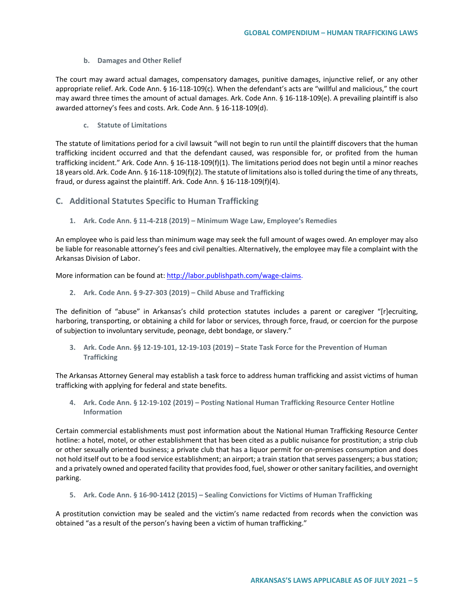#### **b. Damages and Other Relief**

The court may award actual damages, compensatory damages, punitive damages, injunctive relief, or any other appropriate relief. Ark. Code Ann. § 16-118-109(c). When the defendant's acts are "willful and malicious," the court may award three times the amount of actual damages. Ark. Code Ann. § 16-118-109(e). A prevailing plaintiff is also awarded attorney's fees and costs. Ark. Code Ann. § 16-118-109(d).

#### **c. Statute of Limitations**

The statute of limitations period for a civil lawsuit "will not begin to run until the plaintiff discovers that the human trafficking incident occurred and that the defendant caused, was responsible for, or profited from the human trafficking incident." Ark. Code Ann. § 16-118-109(f)(1). The limitations period does not begin until a minor reaches 18 years old. Ark. Code Ann. § 16-118-109(f)(2). The statute of limitations also is tolled during the time of any threats, fraud, or duress against the plaintiff. Ark. Code Ann. § 16-118-109(f)(4).

# **C. Additional Statutes Specific to Human Trafficking**

**1. Ark. Code Ann. § 11-4-218 (2019) – Minimum Wage Law, Employee's Remedies**

An employee who is paid less than minimum wage may seek the full amount of wages owed. An employer may also be liable for reasonable attorney's fees and civil penalties. Alternatively, the employee may file a complaint with the Arkansas Division of Labor.

More information can be found at[: http://labor.publishpath.com/wage-claims.](http://labor.publishpath.com/wage-claims)

**2. Ark. Code Ann. § 9-27-303 (2019) – Child Abuse and Trafficking** 

The definition of "abuse" in Arkansas's child protection statutes includes a parent or caregiver "[r]ecruiting, harboring, transporting, or obtaining a child for labor or services, through force, fraud, or coercion for the purpose of subjection to involuntary servitude, peonage, debt bondage, or slavery."

**3. Ark. Code Ann. §§ 12-19-101, 12-19-103 (2019) – State Task Force for the Prevention of Human Trafficking** 

The Arkansas Attorney General may establish a task force to address human trafficking and assist victims of human trafficking with applying for federal and state benefits.

**4. Ark. Code Ann. § 12-19-102 (2019) – Posting National Human Trafficking Resource Center Hotline Information**

Certain commercial establishments must post information about the National Human Trafficking Resource Center hotline: a hotel, motel, or other establishment that has been cited as a public nuisance for prostitution; a strip club or other sexually oriented business; a private club that has a liquor permit for on-premises consumption and does not hold itself out to be a food service establishment; an airport; a train station that serves passengers; a bus station; and a privately owned and operated facility that provides food, fuel, shower or other sanitary facilities, and overnight parking.

**5. Ark. Code Ann. § 16-90-1412 (2015) – Sealing Convictions for Victims of Human Trafficking**

A prostitution conviction may be sealed and the victim's name redacted from records when the conviction was obtained "as a result of the person's having been a victim of human trafficking."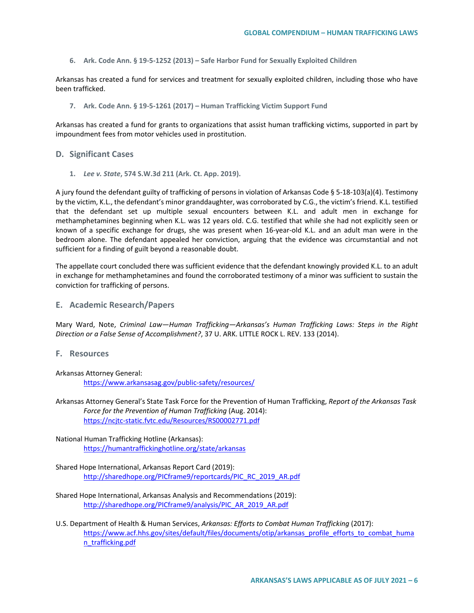**6. Ark. Code Ann. § 19-5-1252 (2013) – Safe Harbor Fund for Sexually Exploited Children**

Arkansas has created a fund for services and treatment for sexually exploited children, including those who have been trafficked.

**7. Ark. Code Ann. § 19-5-1261 (2017) – Human Trafficking Victim Support Fund**

Arkansas has created a fund for grants to organizations that assist human trafficking victims, supported in part by impoundment fees from motor vehicles used in prostitution.

### **D. Significant Cases**

**1.** *Lee v. State***, 574 S.W.3d 211 (Ark. Ct. App. 2019).**

A jury found the defendant guilty of trafficking of persons in violation of Arkansas Code § 5-18-103(a)(4). Testimony by the victim, K.L., the defendant's minor granddaughter, was corroborated by C.G., the victim's friend. K.L. testified that the defendant set up multiple sexual encounters between K.L. and adult men in exchange for methamphetamines beginning when K.L. was 12 years old. C.G. testified that while she had not explicitly seen or known of a specific exchange for drugs, she was present when 16-year-old K.L. and an adult man were in the bedroom alone. The defendant appealed her conviction, arguing that the evidence was circumstantial and not sufficient for a finding of guilt beyond a reasonable doubt.

The appellate court concluded there was sufficient evidence that the defendant knowingly provided K.L. to an adult in exchange for methamphetamines and found the corroborated testimony of a minor was sufficient to sustain the conviction for trafficking of persons.

**E. Academic Research/Papers**

Mary Ward, Note, *Criminal Law—Human Trafficking—Arkansas's Human Trafficking Laws: Steps in the Right Direction or a False Sense of Accomplishment?*, 37 U. ARK. LITTLE ROCK L. REV. 133 (2014).

**F. Resources**

Arkansas Attorney General: <https://www.arkansasag.gov/public-safety/resources/>

Arkansas Attorney General's State Task Force for the Prevention of Human Trafficking, *Report of the Arkansas Task Force for the Prevention of Human Trafficking* (Aug. 2014): <https://ncjtc-static.fvtc.edu/Resources/RS00002771.pdf>

National Human Trafficking Hotline (Arkansas): <https://humantraffickinghotline.org/state/arkansas>

Shared Hope International, Arkansas Report Card (2019): [http://sharedhope.org/PICframe9/reportcards/PIC\\_RC\\_2019\\_AR.pdf](http://sharedhope.org/PICframe9/reportcards/PIC_RC_2019_AR.pdf)

- Shared Hope International, Arkansas Analysis and Recommendations (2019): [http://sharedhope.org/PICframe9/analysis/PIC\\_AR\\_2019\\_AR.pdf](http://sharedhope.org/PICframe9/analysis/PIC_AR_2019_AR.pdf)
- U.S. Department of Health & Human Services, *Arkansas: Efforts to Combat Human Trafficking* (2017): [https://www.acf.hhs.gov/sites/default/files/documents/otip/arkansas\\_profile\\_efforts\\_to\\_combat\\_huma](https://www.acf.hhs.gov/sites/default/files/documents/otip/arkansas_profile_efforts_to_combat_human_trafficking.pdf) [n\\_trafficking.pdf](https://www.acf.hhs.gov/sites/default/files/documents/otip/arkansas_profile_efforts_to_combat_human_trafficking.pdf)